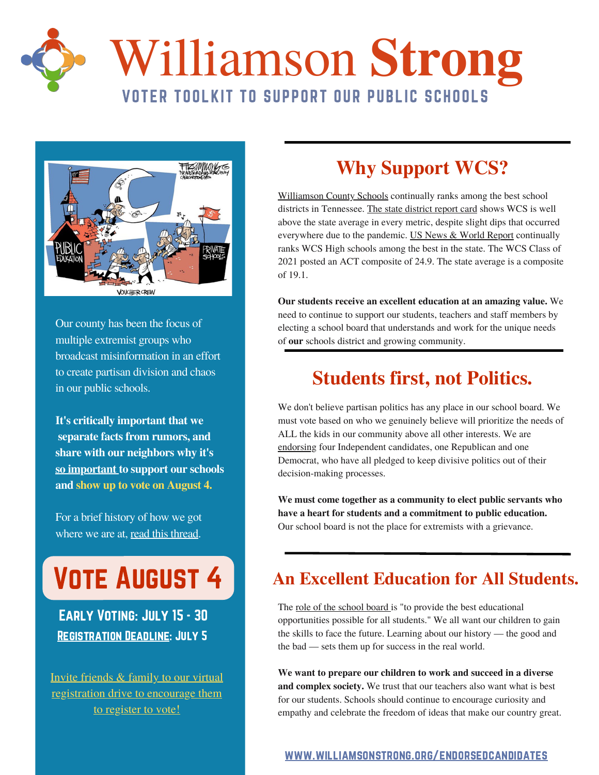

# Williamson **Strong** VOTER TOOLKIT TO SUPPORT OUR PUBLIC SCHOOLS



Our county has been the focus of multiple extremist groups who broadcast misinformation in an effort to create partisan division and chaos in our public schools.

**It's critically important that we separate facts from rumors, and share with our neighbors why it's so important to support our schools and show up to vote on August 4.**

For a brief history of how we got where we are at, read this [thread.](https://twitter.com/WilliamsonStrg/status/1519301300227297281?s=20&t=wNmNFvsrmsbqAV1NUUz99g)

# **VOTE AUGUST 4**

Early Voting: July 15 - 30 **REGISTRATION DEADLINE: JULY 5** 

Invite friends & family to our virtual [registration](https://fb.me/e/1IIfW0VqD) drive to encourage them to register to vote!

## **Why Support WCS?**

[Williamson](https://www.wcs.edu/domain/1191) County Schools continually ranks among the best school districts in Tennessee. The state [district](https://reportcard.tnedu.gov/districts/940/achievement) report card shows WCS is well above the state average in every metric, despite slight dips that occurred everywhere due to the pandemic. US News & World [Report](https://www.usnews.com/education/best-high-schools/tennessee/districts/williamson-county-schools-104064) continually ranks WCS High schools among the best in the state. The WCS Class of 2021 posted an ACT composite of 24.9. The state average is a composite of 19.1.

**Our students receive an excellent education at an amazing value.** We need to continue to support our students, teachers and staff members by electing a school board that understands and work for the unique needs of **our** schools district and growing community.

## **Students first, not Politics.**

We don't believe partisan politics has any place in our school board. We must vote based on who we genuinely believe will prioritize the needs of ALL the kids in our community above all other interests. We are [endorsing](https://www.williamsonstrong.org/endorsedcandidates) four Independent candidates, one Republican and one Democrat, who have all pledged to keep divisive politics out of their decision-making processes.

**We must come together as a community to elect public servants who have a heart for students and a commitment to public education.** Our school board is not the place for extremists with a grievance.

### **An Excellent Education for All Students.**

The role of the [school](https://onedrive.live.com/view.aspx?resid=C425CC264269ABEF!483&ithint=file%2cdocx&authkey=!AEGO96-uq7X-onY) board is "to provide the best educational opportunities possible for all students." We all want our children to gain the skills to face the future. Learning about our history — the good and the bad — sets them up for success in the real world.

**We want to prepare our children to work and succeed in a diverse and complex society.** We trust that our teachers also want what is best for our students. Schools should continue to encourage curiosity and empathy and celebrate the freedom of ideas that make our country great.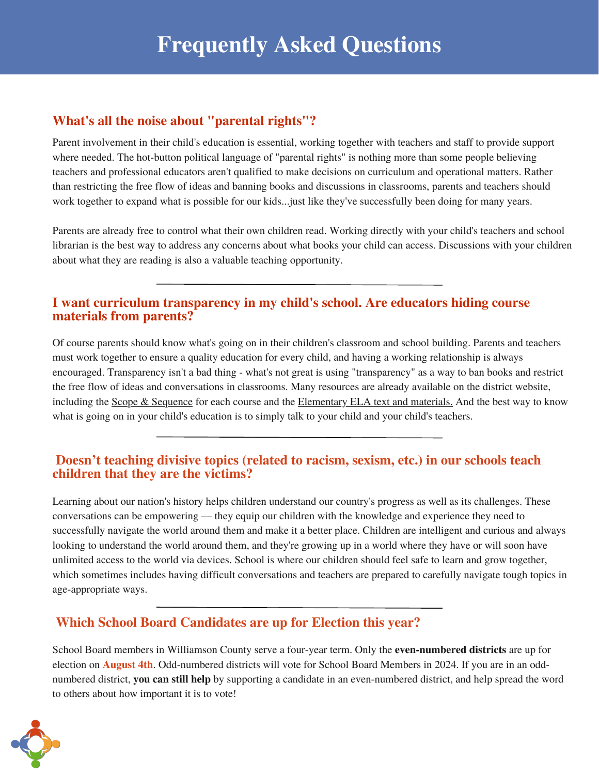#### **What's all the noise about "parental rights"?**

Parent involvement in their child's education is essential, working together with teachers and staff to provide support where needed. The hot-button political language of "parental rights" is nothing more than some people believing teachers and professional educators aren't qualified to make decisions on curriculum and operational matters. Rather than restricting the free flow of ideas and banning books and discussions in classrooms, parents and teachers should work together to expand what is possible for our kids...just like they've successfully been doing for many years.

Parents are already free to control what their own children read. Working directly with your child's teachers and school librarian is the best way to address any concerns about what books your child can access. Discussions with your children about what they are reading is also a valuable teaching opportunity.

#### **I want curriculum transparency in my child's school. Are educators hiding course materials from parents?**

Of course parents should know what's going on in their children's classroom and school building. Parents and teachers must work together to ensure a quality education for every child, and having a working relationship is always encouraged. Transparency isn't a bad thing - what's not great is using "transparency" as a way to ban books and restrict the free flow of ideas and conversations in classrooms. Many resources are already available on the district website, including the Scope & [Sequence](https://www.wcs.edu/domain/1189) for each course and the [Elementary](https://www.wcs.edu/domain/1416) ELA text and materials. And the best way to know what is going on in your child's education is to simply talk to your child and your child's teachers.

#### **Doesn't teaching divisive topics (related to racism, sexism, etc.) in our schools teach children that they are the victims?**

Learning about our nation's history helps children understand our country's progress as well as its challenges. These conversations can be empowering –– they equip our children with the knowledge and experience they need to successfully navigate the world around them and make it a better place. Children are intelligent and curious and always looking to understand the world around them, and they're growing up in a world where they have or will soon have unlimited access to the world via devices. School is where our children should feel safe to learn and grow together, which sometimes includes having difficult conversations and teachers are prepared to carefully navigate tough topics in age-appropriate ways.

#### **Which School Board Candidates are up for Election this year?**

School Board members in Williamson County serve a four-year term. Only the **even-numbered districts** are up for election on **August 4th**. Odd-numbered districts will vote for School Board Members in 2024. If you are in an oddnumbered district, **you can still help** by supporting a candidate in an even-numbered district, and help spread the word to others about how important it is to vote!

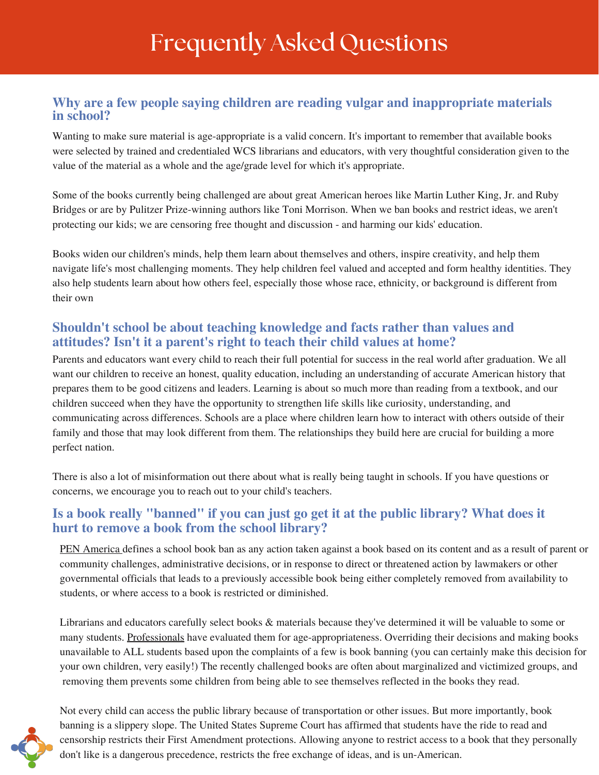## Frequently Asked Questions

#### **Why are a few people saying children are reading vulgar and inappropriate materials in school?**

Wanting to make sure material is age-appropriate is a valid concern. It's important to remember that available books were selected by trained and credentialed WCS librarians and educators, with very thoughtful consideration given to the value of the material as a whole and the age/grade level for which it's appropriate.

Some of the books currently being challenged are about great American heroes like Martin Luther King, Jr. and Ruby Bridges or are by Pulitzer Prize-winning authors like Toni Morrison. When we ban books and restrict ideas, we aren't protecting our kids; we are censoring free thought and discussion - and harming our kids' education.

Books widen our children's minds, help them learn about themselves and others, inspire creativity, and help them navigate life's most challenging moments. They help children feel valued and accepted and form healthy identities. They also help students learn about how others feel, especially those whose race, ethnicity, or background is different from their own

#### **Shouldn't school be about teaching knowledge and facts rather than values and attitudes? Isn't it a parent's right to teach their child values at home?**

Parents and educators want every child to reach their full potential for success in the real world after graduation. We all want our children to receive an honest, quality education, including an understanding of accurate American history that prepares them to be good citizens and leaders. Learning is about so much more than reading from a textbook, and our children succeed when they have the opportunity to strengthen life skills like curiosity, understanding, and communicating across differences. Schools are a place where children learn how to interact with others outside of their family and those that may look different from them. The relationships they build here are crucial for building a more perfect nation.

There is also a lot of misinformation out there about what is really being taught in schools. If you have questions or concerns, we encourage you to reach out to your child's teachers.

#### **Is a book really "banned" if you can just go get it at the public library? What does it hurt to remove a book from the school library?**

PEN [America](https://pen.org/banned-in-the-usa/) defines a school book ban as any action taken against a book based on its content and as a result of parent or community challenges, administrative decisions, or in response to direct or threatened action by lawmakers or other governmental officials that leads to a previously accessible book being either completely removed from availability to students, or where access to a book is restricted or diminished.

Librarians and educators carefully select books & materials because they've determined it will be valuable to some or many students. Professionals have evaluated them for age-appropriateness. Overriding their decisions and making books unavailable to ALL students based upon the complaints of a few is book banning (you can certainly make this decision for your own children, very easily!) The recently challenged books are often about marginalized and victimized groups, and removing them prevents some children from being able to see themselves reflected in the books they read.



Not every child can access the public library because of transportation or other issues. But more importantly, book banning is a slippery slope. The United States Supreme Court has affirmed that students have the ride to read and censorship restricts their First Amendment protections. Allowing anyone to restrict access to a book that they personally don't like is a dangerous precedence, restricts the free exchange of ideas, and is un-American.